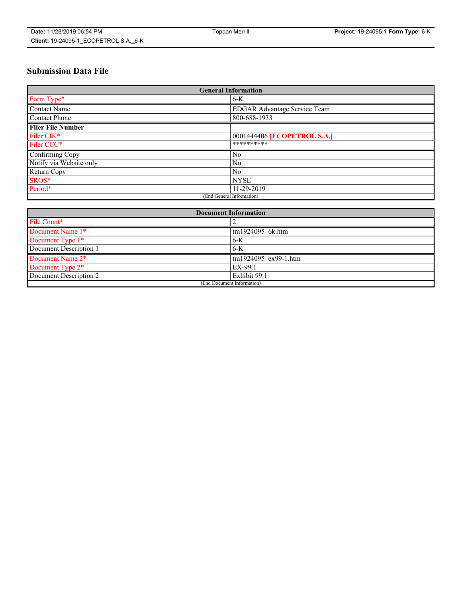# **Submission Data File**

| <b>General Information</b> |                                     |
|----------------------------|-------------------------------------|
| Form Type*                 | $6-K$                               |
| Contact Name               | <b>EDGAR Advantage Service Team</b> |
| Contact Phone              | 800-688-1933                        |
| <b>Filer File Number</b>   |                                     |
| Filer CIK*                 | 0001444406 <b>[ECOPETROL S.A.]</b>  |
| Filer CCC*                 | **********                          |
| Confirming Copy            | N <sub>0</sub>                      |
| Notify via Website only    | N <sub>0</sub>                      |
| Return Copy                | N <sub>0</sub>                      |
| SROS*                      | <b>NYSE</b>                         |
| Period*                    | 11-29-2019                          |
| (End General Information)  |                                     |

| <b>Document Information</b> |                      |
|-----------------------------|----------------------|
| File Count*                 |                      |
| Document Name 1*            | tm1924095 6k.htm     |
| Document Type 1*            | $6-K$                |
| Document Description 1      | $6-K$                |
| Document Name 2*            | tm1924095 ex99-1.htm |
| Document Type 2*            | EX-99.1              |
| Document Description 2      | Exhibit 99.1         |
| (End Document Information)  |                      |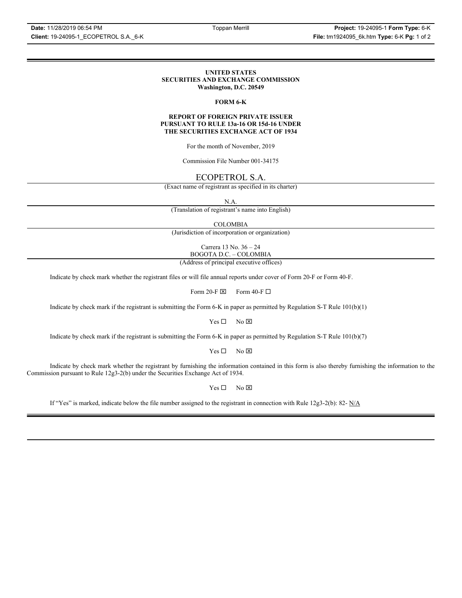### **UNITED STATES SECURITIES AND EXCHANGE COMMISSION Washington, D.C. 20549**

# **FORM 6-K**

### **REPORT OF FOREIGN PRIVATE ISSUER PURSUANT TO RULE 13a-16 OR 15d-16 UNDER THE SECURITIES EXCHANGE ACT OF 1934**

For the month of November, 2019

Commission File Number 001-34175

# ECOPETROL S.A.

(Exact name of registrant as specified in its charter)

N.A.

(Translation of registrant's name into English)

COLOMBIA

(Jurisdiction of incorporation or organization)

Carrera 13 No. 36 – 24 BOGOTA D.C. – COLOMBIA

(Address of principal executive offices)

Indicate by check mark whether the registrant files or will file annual reports under cover of Form 20-F or Form 40-F.

Form 20-F  $\boxtimes$  Form 40-F  $\Box$ 

Indicate by check mark if the registrant is submitting the Form 6-K in paper as permitted by Regulation S-T Rule 101(b)(1)

 $Yes \Box$  No  $\boxtimes$ 

Indicate by check mark if the registrant is submitting the Form 6-K in paper as permitted by Regulation S-T Rule 101(b)(7)

 $Yes \Box$  No  $\boxtimes$ 

Indicate by check mark whether the registrant by furnishing the information contained in this form is also thereby furnishing the information to the Commission pursuant to Rule 12g3-2(b) under the Securities Exchange Act of 1934.

 $Yes \Box$  No  $\boxtimes$ 

If "Yes" is marked, indicate below the file number assigned to the registrant in connection with Rule 12g3-2(b): 82- N/A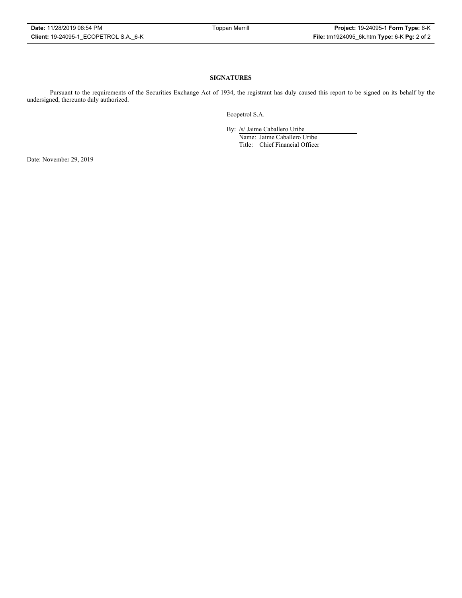# **SIGNATURES**

Pursuant to the requirements of the Securities Exchange Act of 1934, the registrant has duly caused this report to be signed on its behalf by the undersigned, thereunto duly authorized.

Ecopetrol S.A.

By: /s/ Jaime Caballero Uribe

Name: Jaime Caballero Uribe Title: Chief Financial Officer

Date: November 29, 2019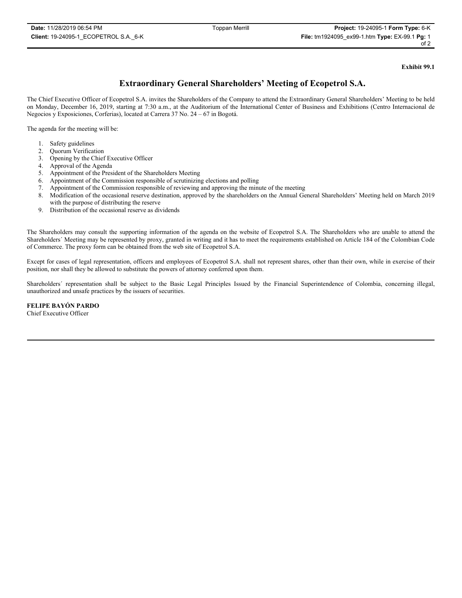**Exhibit 99.1**

# **Extraordinary General Shareholders' Meeting of Ecopetrol S.A.**

The Chief Executive Officer of Ecopetrol S.A. invites the Shareholders of the Company to attend the Extraordinary General Shareholders' Meeting to be held on Monday, December 16, 2019, starting at 7:30 a.m., at the Auditorium of the International Center of Business and Exhibitions (Centro Internacional de Negocios y Exposiciones, Corferias), located at Carrera 37 No. 24 – 67 in Bogotá.

The agenda for the meeting will be:

- 1. Safety guidelines
- 2. Quorum Verification
- 3. Opening by the Chief Executive Officer
- 4. Approval of the Agenda
- 5. Appointment of the President of the Shareholders Meeting
- 6. Appointment of the Commission responsible of scrutinizing elections and polling
- 7. Appointment of the Commission responsible of reviewing and approving the minute of the meeting
- 8. Modification of the occasional reserve destination, approved by the shareholders on the Annual General Shareholders' Meeting held on March 2019 with the purpose of distributing the reserve
- 9. Distribution of the occasional reserve as dividends

The Shareholders may consult the supporting information of the agenda on the website of Ecopetrol S.A. The Shareholders who are unable to attend the Shareholders´ Meeting may be represented by proxy, granted in writing and it has to meet the requirements established on Article 184 of the Colombian Code of Commerce. The proxy form can be obtained from the web site of Ecopetrol S.A.

Except for cases of legal representation, officers and employees of Ecopetrol S.A. shall not represent shares, other than their own, while in exercise of their position, nor shall they be allowed to substitute the powers of attorney conferred upon them.

Shareholders´ representation shall be subject to the Basic Legal Principles Issued by the Financial Superintendence of Colombia, concerning illegal, unauthorized and unsafe practices by the issuers of securities.

**FELIPE BAYÓN PARDO** Chief Executive Officer